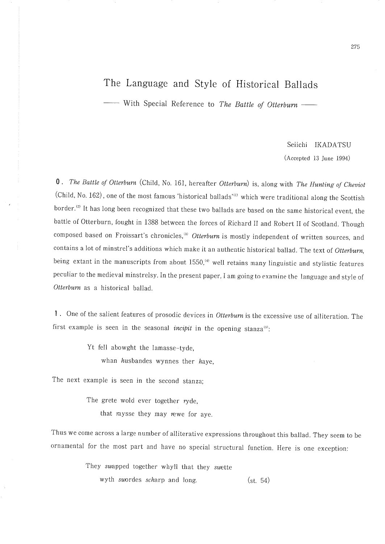# The Language and Style of Historical Ballads

- With Special Reference to The Battle of Otterburn -

## Seiichi IKADATSU (Accepted 13 June 1994)

0. The Battle of Otterburn (Child, No. 161, hereafter Otterburn) is, along with The Hunting of Cheviot (Child, No. 162), one of the most famous 'historical ballads'<sup>(1)</sup> which were traditional along the Scottish border.<sup>(2)</sup> It has long been recognized that these two ballads are based on the same historical event, the battle of Otterburn, fought in 1388 between the forces of Richard II and Robert II of Scotland. Though composed based on Froissart's chronicles,<sup>(3)</sup> Otterburn is mostly independent of written sources, and contains a lot of minstrel's additions which make it an authentic historical ballad. The text of Otterburn, being extant in the manuscripts from about  $1550$ ,<sup>(4)</sup> well retains many linguistic and stylistic features peculiar to the medieval minstrelsy. In the present paper, I am going to examine the language and style of Otterburn as a historical ballad.

1. One of the salient features of prosodic devices in Otterburn is the excessive use of alliteration. The first example is seen in the seasonal *incipit* in the opening stanza<sup>(5)</sup>:

> Yt fell abowght the lamasse-tyde. whan husbandes wynnes ther haye,

The next example is seen in the second stanza;

The grete wold ever together  $ryde$ ,

that raysse they may rewe for aye.

Thus we come across a large number of alliterative expressions throughout this ballad. They seem to be ornamental for the most part and have no special structural function. Here is one exception:

They swapped together whyll that they swette

wyth swordes scharp and long.  $(st, 54)$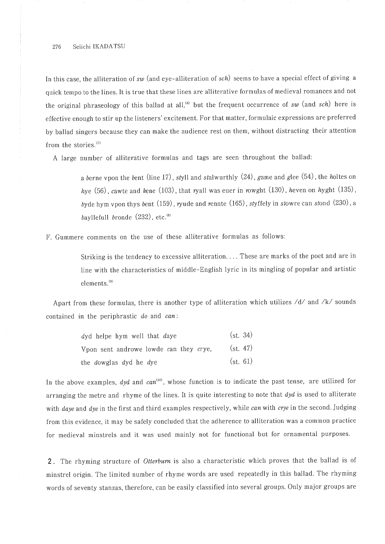#### Seiichi IKADATSU 276

In this case, the alliteration of  $sw$  (and eye-alliteration of  $sch$ ) seems to have a special effect of giving a quick tempo to the lines. It is true that these lines are alliterative formulas of medieval romances and not the original phraseology of this ballad at all,<sup>(6)</sup> but the frequent occurrence of sw (and sch) here is effective enough to stir up the listeners' excitement. For that matter, formulaic expressions are preferred by ballad singers because they can make the audience rest on them, without distracting their attention from the stories.<sup>(7)</sup>

A large number of alliterative formulas and tags are seen throughout the ballad:

a berne vpon the bent (line 17), styll and stalwurthly (24), game and glee (54), the holtes on hye  $(56)$ , cawte and kene  $(103)$ , that ryall was euer in rowght  $(130)$ , heven on hyght  $(135)$ , byde hym vpon thys bent  $(159)$ , ryude and rennte  $(165)$ , styffely in stowre can stond  $(230)$ , a bayllefull bronde  $(232)$ , etc.<sup>(8)</sup>

F. Gummere comments on the use of these alliterative formulas as follows:

Striking is the tendency to excessive alliteration.... These are marks of the poet and are in line with the characteristics of middle-English lyric in its mingling of popular and artistic elements.<sup>(9)</sup>

Apart from these formulas, there is another type of alliteration which utilizes /d/ and /k/ sounds contained in the periphrastic do and can:

| dyd helpe hym well that daye           | (st. 34) |
|----------------------------------------|----------|
| Vpon sent androwe lowde can they crye, | (st. 47) |
| the <i>dowglas</i> dyd he dye          | (st. 61) |

In the above examples,  $dyd$  and  $can^{(10)}$ , whose function is to indicate the past tense, are utilized for arranging the metre and rhyme of the lines. It is quite interesting to note that dyd is used to alliterate with daye and dye in the first and third examples respectively, while can with crye in the second. Judging from this evidence, it may be safely concluded that the adherence to alliteration was a common practice for medieval minstrels and it was used mainly not for functional but for ornamental purposes.

2. The rhyming structure of Otterburn is also a characteristic which proves that the ballad is of minstrel origin. The limited number of rhyme words are used repeatedly in this ballad. The rhyming words of seventy stanzas, therefore, can be easily classified into several groups. Only major groups are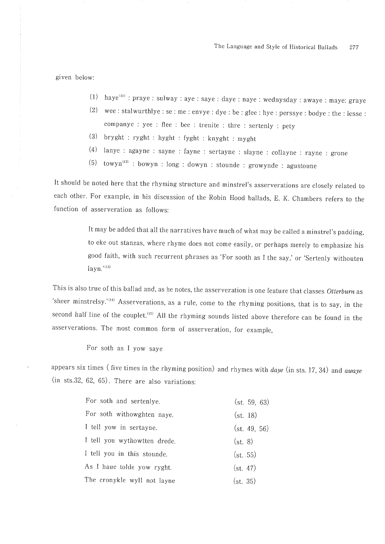The Language and Style of Historical Ballads 277

given below:

- $(1)$  haye<sup>(ii)</sup>: praye: sulway: aye: saye: daye: naye: wednysday: awaye: maye: graye
- $(2)$ wee: stalwurthlye: se: me: envye: dye: be: glee: hye: perssye: bodye: the: lesse: companye : yee : flee : bee : trenite : thre : sertenly : pety
- (3) bryght : ryght : hyght : fyght : knyght : myght
- (4) lanye : agayne : sayne : fayne : sertayne : slayne : collayne : rayne : grone
- towyn<sup>(12)</sup> : bowyn : long : dowyn : stounde : growynde : agustoune  $(5)$

It should be noted here that the rhyming structure and minstrel's asserverations are closely related to each other. For example, in his discussion of the Robin Hood ballads, E. K. Chambers refers to the function of asserveration as follows:

> It may be added that all the narratives have much of what may be called a minstrel's padding, to eke out stanzas, where rhyme does not come easily, or perhaps merely to emphasize his good faith, with such recurrent phrases as 'For sooth as I the say,' or 'Sertenly withouten layn.'<sup>(13)</sup>

This is also true of this ballad and, as he notes, the asserveration is one feature that classes Otterburn as 'sheer minstrelsy.'<sup>(10</sup> Asserverations, as a rule, come to the rhyming positions, that is to say, in the second half line of the couplet.<sup>(15)</sup> All the rhyming sounds listed above therefore can be found in the asserverations. The most common form of asserveration, for example,

For soth as I yow saye

appears six times (five times in the rhyming position) and rhymes with daye (in sts. 17, 34) and awaye  $(in$  sts.32, 62, 65). There are also variations:

| For soth and sertenlye.      | (st. 59. 63) |
|------------------------------|--------------|
| For soth withowghten naye.   | (st. 18)     |
| I tell yow in sertayne.      | (st. 49, 56) |
| I tell you wythowtten drede. | (st. 8)      |
| I tell you in this stounde.  | (st. .55)    |
| As I haue tolde yow ryght.   | (st. 47)     |
| The cronykle wyll not layne  | (st. 35)     |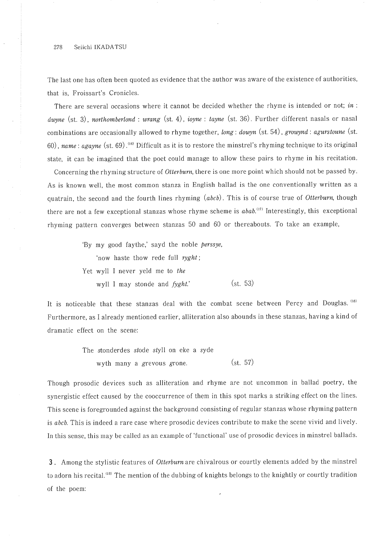The last one has often been quoted as evidence that the author was aware of the existence of authorities, that is, Froissart's Cronicles.

There are several occasions where it cannot be decided whether the rhyme is intended or not; in: dwyne (st. 3), northomberlond: wrang (st. 4), ioyne: tayne (st. 36). Further different nasals or nasal combinations are occasionally allowed to rhyme together, long : dowyn (st. 54), growynd : agurstoune (st. 60), name: agayne (st. 69).<sup>(16)</sup> Difficult as it is to restore the minstrel's rhyming technique to its original state, it can be imagined that the poet could manage to allow these pairs to rhyme in his recitation.

Concerning the rhyming structure of Otterburn, there is one more point which should not be passed by. As is known well, the most common stanza in English ballad is the one conventionally written as a quatrain, the second and the fourth lines rhyming (abcb). This is of course true of Otterburn, though there are not a few exceptional stanzas whose rhyme scheme is  $abab$ .<sup>(17)</sup> Interestingly, this exceptional rhyming pattern converges between stanzas 50 and 60 or thereabouts. To take an example,

> 'By my good faythe,' sayd the noble *perssye*, 'now haste thow rede full ryght; Yet wyll I never yeld me to the  $(st. 53)$ wyll I may stonde and fyght.'

It is noticeable that these stanzas deal with the combat scene between Percy and Douglas. (18) Furthermore, as I already mentioned earlier, alliteration also abounds in these stanzas, having a kind of dramatic effect on the scene:

> The stonderdes stode styll on eke a syde  $(st. 57)$ wyth many a grevous grone.

Though prosodic devices such as alliteration and rhyme are not uncommon in ballad poetry, the synergistic effect caused by the cooccurrence of them in this spot marks a striking effect on the lines. This scene is foregrounded against the background consisting of regular stanzas whose rhyming pattern is abcb. This is indeed a rare case where prosodic devices contribute to make the scene vivid and lively. In this sense, this may be called as an example of 'functional' use of prosodic devices in minstrel ballads.

3. Among the stylistic features of Otterburn are chivalrous or courtly elements added by the minstrel to adorn his recital.<sup>(19)</sup> The mention of the dubbing of knights belongs to the knightly or courtly tradition of the poem: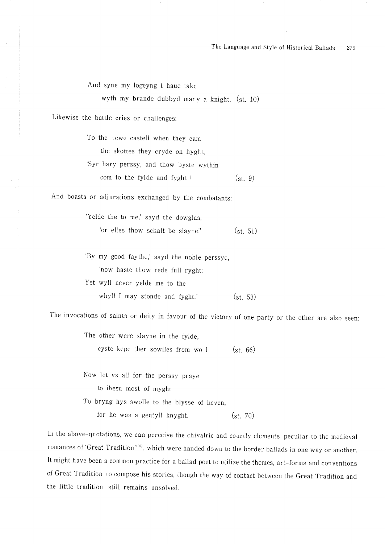And syne my logeyng I haue take

wyth my brande dubbyd many a knight. (st. 10)

Likewise the battle cries or challenges:

To the newe castell when they cam the skottes they cryde on hyght. 'Syr hary perssy, and thow byste wythin com to the fylde and fyght!  $(st. 9)$ 

And boasts or adjurations exchanged by the combatants:

'Yelde the to me,' sayd the dowglas. 'or elles thow schalt be slayne!'  $(st. 51)$ 

'By my good faythe,' sayd the noble perssye, 'now haste thow rede full ryght; Yet wyll never yelde me to the whyll I may stonde and fyght.'  $(st. 53)$ 

The invocations of saints or deity in favour of the victory of one party or the other are also seen:

The other were slayne in the fylde.

cyste kepe ther sowlles from wo !  $(st, 66)$ 

Now let vs all for the perssy praye to ihesu most of myght To bryng hys swolle to the blysse of heven, for he was a gentyll knyght.  $(st. 70)$ 

In the above-quotations, we can perceive the chivalric and courtly elements peculiar to the medieval romances of 'Great Tradition'<sup>120)</sup>, which were handed down to the border ballads in one way or another. It might have been a common practice for a ballad poet to utilize the themes, art-forms and conventions of Great Tradition to compose his stories, though the way of contact between the Great Tradition and the little tradition still remains unsolved.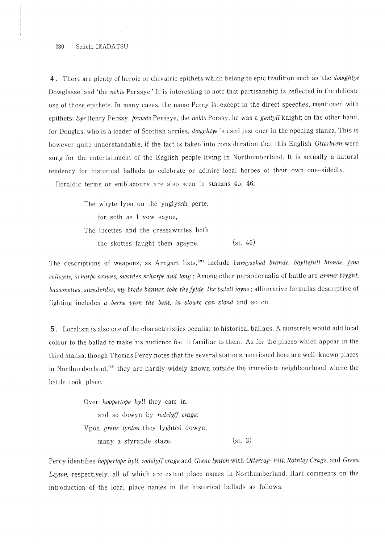#### 280 Seiichi IKADATSU

4. There are plenty of heroic or chivalric epithets which belong to epic tradition such as 'the *dowghtye* Dowglasse' and 'the noble Perssye.' It is interesting to note that partisanship is reflected in the delicate use of those epithets. In many cases, the name Percy is, except in the direct speeches, mentioned with epithets: Syr Henry Perssy, prowde Perssye, the noble Perssy, he was a gentyll knight; on the other hand, for Douglas, who is a leader of Scottish armies, *dowghtye* is used just once in the opening stanza. This is however quite understandable, if the fact is taken into consideration that this English Otterburn were sung for the entertainment of the English people living in Northumberland. It is actually a natural tendency for historical ballads to celebrate or admire local heroes of their own one-sidedly.

Heraldic terms or emblazonry are also seen in stanzas 45, 46:

The whyte lyon on the ynglyssh perte, for soth as I yow sayne, The lucettes and the cressawnttes both  $(st. 46)$ the skottes faught them agayne.

The descriptions of weapons, as Arngart lists,<sup>(21)</sup> include burnysshed brande, bayllefull bronde, fyne collayne, scharbe arowes, swordes scharbe and long; Among other paraphernalia of battle are armur bryght, bassonettes, standerdes, my brede banner, toke the fylde, the batell ioyne; alliterative formulas descriptive of fighting includes a berne vpon the bent, in stowne can stond and so on.

5. Localism is also one of the characteristics peculiar to historical ballads. A minstrels would add local colour to the ballad to make his audience feel it familiar to them. As for the places which appear in the third stanza, though Thomas Percy notes that the several stations mentioned here are well-known places in Northumberland,<sup>(22)</sup> they are hardly widely known outside the immediate neighbourhood where the battle took place.

> Over *hoppertope* hyll they cam in, and so dowyn by rodclyff crage; Vpon grene lynton they lyghted dowyn,  $(st. 3)$ many a styrande stage.

Percy identifies hoppertope hyll, rodelyff crage and Grene lynton with Ottercap-hill, Rothley Crags, and Green Leyton, respectively, all of which are extant place names in Northumberland. Hart comments on the introduction of the local place names in the historical ballads as follows: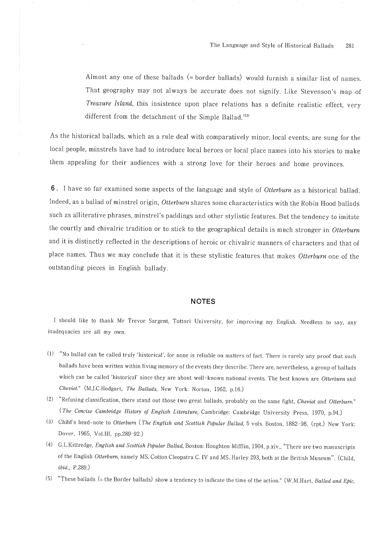Almost any one of these ballads (= border ballads) would furnish a similar list of names. That geography may not always be accurate does not signify. Like Stevenson's map of Treasure Island, this insistence upon place relations has a definite realistic effect, very different from the detachment of the Simple Ballad.<sup>(23)</sup>

As the historical ballads, which as a rule deal with comparatively minor, local events, are sung for the local people, minstrels have had to introduce local heroes or local place names into his stories to make them appealing for their audiences with a strong love for their heroes and home provinces.

6. I have so far examined some aspects of the language and style of Otterburn as a historical ballad. Indeed, as a ballad of minstrel origin, Otterburn shares some characteristics with the Robin Hood ballads such as alliterative phrases, minstrel's paddings and other stylistic features. But the tendency to imitate the courtly and chivalric tradition or to stick to the geographical details is much stronger in Otterburn and it is distinctly reflected in the descriptions of heroic or chivalric manners of characters and that of place names. Thus we may conclude that it is these stylistic features that makes Otterburn one of the outstanding pieces in English ballady.

### **NOTES**

I should like to thank Mr Trevor Sargent, Tottori University, for improving my English. Needless to say, any inadequacies are all my own.

- (1) "No ballad can be called truly 'historical', for none is reliable on matters of fact. There is rarely any proof that such ballads have been written within living memory of the events they describe. There are, nevertheless, a group of ballads which can be called 'historical' since they are about well-known national events. The best known are Otterburn and Cheviot." (M.J.C.Hodgart, The Ballads, New York: Norton, 1962, p.16.)
- (2) "Refusing classification, there stand out those two great ballads, probably on the same fight, Cheviot and Otterburn." (The Concise Cambridge History of English Literature, Cambridge: Cambridge University Press, 1970, p.94.)
- (3) Child's head-note to Otterburn (The English and Scottish Popular Ballad, 5 vols. Boston, 1882-98, (rpt.) New York: Dover, 1965, Vol.III, pp.289-92.)
- (4) G.L.Kittredge, English and Scottish Popular Ballad, Boston: Houghton Mifflin, 1904, p.xiv., "There are two manuscripts of the English Otterburn, namely MS. Cotton Cleopatra C. IV and MS. Harley 293, both at the British Museum". (Child, *ibid.*, P.289.)
- (5) "These ballads (= the Border ballads) show a tendency to indicate the time of the action." (W.M.Hart, Ballad and Epic,